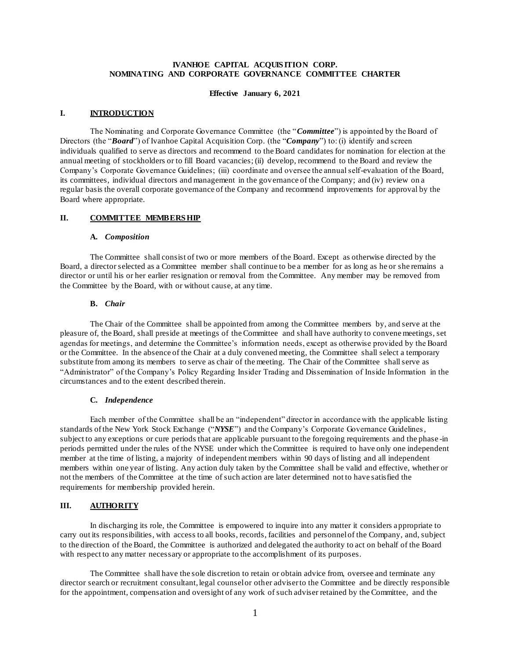## **IVANHOE CAPITAL ACQUIS ITION CORP. NOMINATING AND CORPORATE GOVERNANCE COMMITTEE CHARTER**

### **Effective January 6, 2021**

### **I. INTRODUCTION**

The Nominating and Corporate Governance Committee (the "*Committee*") is appointed by the Board of Directors (the "*Board*") of Ivanhoe Capital Acquisition Corp. (the "*Company*") to: (i) identify and screen individuals qualified to serve as directors and recommend to the Board candidates for nomination for election at the annual meeting of stockholders or to fill Board vacancies; (ii) develop, recommend to the Board and review the Company's Corporate Governance Guidelines; (iii) coordinate and oversee the annual self-evaluation of the Board, its committees, individual directors and management in the governance of the Company; and (iv) review on a regular basis the overall corporate governance of the Company and recommend improvements for approval by the Board where appropriate.

### **II. COMMITTEE MEMBERS HIP**

#### **A.** *Composition*

The Committee shall consist of two or more members of the Board. Except as otherwise directed by the Board, a director selected as a Committee member shall continue to be a member for as long as he or she remains a director or until his or her earlier resignation or removal from the Committee. Any member may be removed from the Committee by the Board, with or without cause, at any time.

## **B.** *Chair*

The Chair of the Committee shall be appointed from among the Committee members by, and serve at the pleasure of, the Board, shall preside at meetings of the Committee and shall have authority to convene meetings, set agendas for meetings, and determine the Committee's information needs, except as otherwise provided by the Board or the Committee. In the absence of the Chair at a duly convened meeting, the Committee shall select a temporary substitute from among its members to serve as chair of the meeting. The Chair of the Committee shall serve as "Administrator" of the Company's Policy Regarding Insider Trading and Dissemination of Inside Information in the circumstances and to the extent described therein.

# **C.** *Independence*

Each member of the Committee shall be an "independent" director in accordance with the applicable listing standards of the New York Stock Exchange ("*NYSE*") and the Company's Corporate Governance Guidelines, subject to any exceptions or cure periods that are applicable pursuant to the foregoing requirements and the phase -in periods permitted under the rules of the NYSE under which the Committee is required to have only one independent member at the time of listing, a majority of independent members within 90 days of listing and all independent members within one year of listing. Any action duly taken by the Committee shall be valid and effective, whether or not the members of the Committee at the time of such action are later determined not to have satisfied the requirements for membership provided herein.

## **III. AUTHORITY**

In discharging its role, the Committee is empowered to inquire into any matter it considers appropriate to carry out its responsibilities, with access to all books, records, facilities and personnel of the Company, and, subject to the direction of the Board, the Committee is authorized and delegated the authority to act on behalf of the Board with respect to any matter necessary or appropriate to the accomplishment of its purposes.

The Committee shall have the sole discretion to retain or obtain advice from, oversee and terminate any director search or recruitment consultant, legal counsel or other adviser to the Committee and be directly responsible for the appointment, compensation and oversight of any work of such adviser retained by the Committee, and the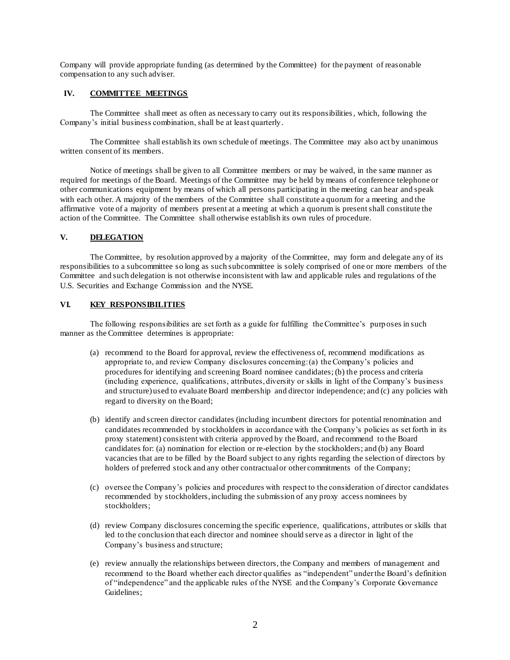Company will provide appropriate funding (as determined by the Committee) for the payment of reasonable compensation to any such adviser.

## **IV. COMMITTEE MEETINGS**

The Committee shall meet as often as necessary to carry out its responsibilities, which, following the Company's initial business combination, shall be at least quarterly.

The Committee shall establish its own schedule of meetings. The Committee may also act by unanimous written consent of its members.

Notice of meetings shall be given to all Committee members or may be waived, in the same manner as required for meetings of the Board. Meetings of the Committee may be held by means of conference telephone or other communications equipment by means of which all persons participating in the meeting can hear and speak with each other. A majority of the members of the Committee shall constitute a quorum for a meeting and the affirmative vote of a majority of members present at a meeting at which a quorum is present shall constitute the action of the Committee. The Committee shall otherwise establish its own rules of procedure.

## **V. DELEGATION**

The Committee, by resolution approved by a majority of the Committee, may form and delegate any of its responsibilities to a subcommittee so long as such subcommittee is solely comprised of one or more members of the Committee and such delegation is not otherwise inconsistent with law and applicable rules and regulations of the U.S. Securities and Exchange Commission and the NYSE.

## **VI. KEY RESPONSIBILITIES**

The following responsibilities are set forth as a guide for fulfilling the Committee's purp oses in such manner as the Committee determines is appropriate:

- (a) recommend to the Board for approval, review the effectiveness of, recommend modifications as appropriate to, and review Company disclosures concerning: (a) the Company's policies and procedures for identifying and screening Board nominee candidates; (b) the process and criteria (including experience, qualifications, attributes, diversity or skills in light of the Company's business and structure) used to evaluate Board membership and director independence; and (c) any policies with regard to diversity on the Board;
- (b) identify and screen director candidates (including incumbent directors for potential renomination and candidates recommended by stockholders in accordance with the Company's policies as set forth in its proxy statement) consistent with criteria approved by the Board, and recommend to the Board candidates for: (a) nomination for election or re-election by the stockholders; and (b) any Board vacancies that are to be filled by the Board subject to any rights regarding the selection of directors by holders of preferred stock and any other contractual or other commitments of the Company;
- (c) oversee the Company's policies and procedures with respect to the consideration of director candidates recommended by stockholders, including the submission of any proxy access nominees by stockholders;
- (d) review Company disclosures concerning the specific experience, qualifications, attributes or skills that led to the conclusion that each director and nominee should serve as a director in light of the Company's business and structure;
- (e) review annually the relationships between directors, the Company and members of management and recommend to the Board whether each director qualifies as "independent" under the Board's definition of "independence" and the applicable rules of the NYSE and the Company's Corporate Governance Guidelines;